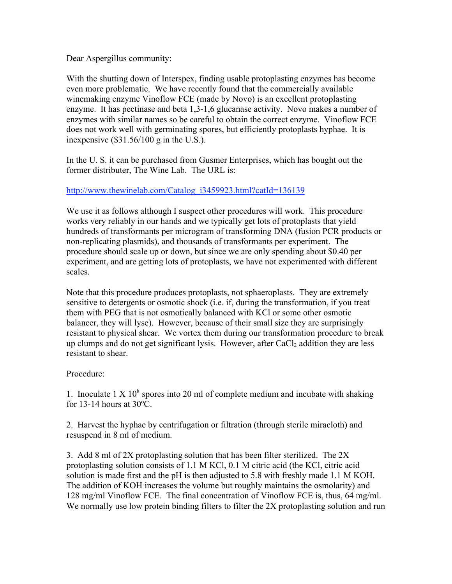Dear Aspergillus community:

With the shutting down of Interspex, finding usable protoplasting enzymes has become even more problematic. We have recently found that the commercially available winemaking enzyme Vinoflow FCE (made by Novo) is an excellent protoplasting enzyme. It has pectinase and beta 1,3-1,6 glucanase activity. Novo makes a number of enzymes with similar names so be careful to obtain the correct enzyme. Vinoflow FCE does not work well with germinating spores, but efficiently protoplasts hyphae. It is inexpensive (\$31.56/100 g in the U.S.).

In the U. S. it can be purchased from Gusmer Enterprises, which has bought out the former distributer, The Wine Lab. The URL is:

## http://www.thewinelab.com/Catalog\_i3459923.html?catId=136139

We use it as follows although I suspect other procedures will work. This procedure works very reliably in our hands and we typically get lots of protoplasts that yield hundreds of transformants per microgram of transforming DNA (fusion PCR products or non-replicating plasmids), and thousands of transformants per experiment. The procedure should scale up or down, but since we are only spending about \$0.40 per experiment, and are getting lots of protoplasts, we have not experimented with different scales.

Note that this procedure produces protoplasts, not sphaeroplasts. They are extremely sensitive to detergents or osmotic shock (i.e. if, during the transformation, if you treat them with PEG that is not osmotically balanced with KCl or some other osmotic balancer, they will lyse). However, because of their small size they are surprisingly resistant to physical shear. We vortex them during our transformation procedure to break up clumps and do not get significant lysis. However, after  $CaCl<sub>2</sub>$  addition they are less resistant to shear.

## Procedure:

1. Inoculate  $1 \times 10^8$  spores into 20 ml of complete medium and incubate with shaking for 13-14 hours at 30ºC.

2. Harvest the hyphae by centrifugation or filtration (through sterile miracloth) and resuspend in 8 ml of medium.

3. Add 8 ml of 2X protoplasting solution that has been filter sterilized. The 2X protoplasting solution consists of 1.1 M KCl, 0.1 M citric acid (the KCl, citric acid solution is made first and the pH is then adjusted to 5.8 with freshly made 1.1 M KOH. The addition of KOH increases the volume but roughly maintains the osmolarity) and 128 mg/ml Vinoflow FCE. The final concentration of Vinoflow FCE is, thus, 64 mg/ml. We normally use low protein binding filters to filter the 2X protoplasting solution and run